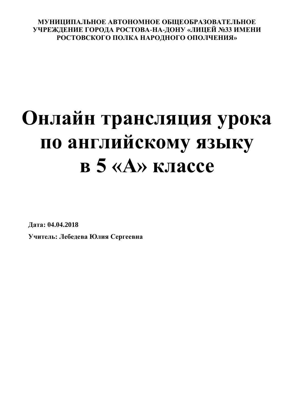## **МУНИЦИПАЛЬНОЕ АВТОНОМНОЕ ОБЩЕОБРАЗОВАТЕЛЬНОЕ УЧРЕЖДЕНИЕ ГОРОДА РОСТОВА-НА-ДОНУ «ЛИЦЕЙ №33 ИМЕНИ РОСТОВСКОГО ПОЛКА НАРОДНОГО ОПОЛЧЕНИЯ»**

## **Онлайн трансляция урока по английскому языку в 5 «А» классе**

**Дата: 04.04.2018**

**Учитель: Лебедева Юлия Сергеевна**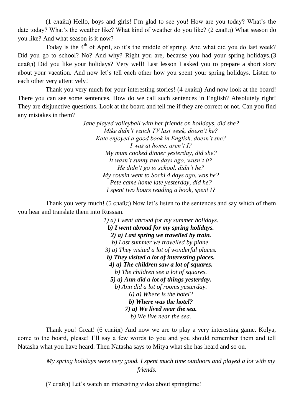(1 слайд) Hello, boys and girls! I'm glad to see you! How are you today? What's the date today? What's the weather like? What kind of weather do you like? (2 слайд) What season do you like? And what season is it now?

Today is the  $4<sup>th</sup>$  of April, so it's the middle of spring. And what did you do last week? Did you go to school? No? And why? Right you are, because you had your spring holidays.(3 слайд) Did you like your holidays? Very well! Last lesson I asked you to prepare a short story about your vacation. And now let's tell each other how you spent your spring holidays. Listen to each other very attentively!

Thank you very much for your interesting stories! (4 слайд) And now look at the board! There you can see some sentences. How do we call such sentences in English? Absolutely right! They are disjunctive questions. Look at the board and tell me if they are correct or not. Can you find any mistakes in them?

> *Jane played volleyball with her friends on holidays, did she? Mike didn't watch TV last week, doesn't he? Kate enjoyed a good book in English, doesn't she? I was at home, aren't I? My mum cooked dinner yesterday, did she? It wasn't sunny two days ago, wasn't it? He didn't go to school, didn't he? My cousin went to Sochi 4 days ago, was he? Pete came home late yesterday, did he? I spent two hours reading a book, spent I?*

Thank you very much! (5 слайд) Now let's listen to the sentences and say which of them you hear and translate them into Russian.

> *1) a) I went abroad for my summer holidays. b) I went abroad for my spring holidays. 2) a) Last spring we travelled by train. b) Last summer we travelled by plane. 3) a) They visited a lot of wonderful places. b) They visited a lot of interesting places. 4) a) The children saw a lot of squares. b) The children see a lot of squares. 5) a) Ann did a lot of things yesterday. b) Ann did a lot of rooms yesterday. 6) a) Where is the hotel? b) Where was the hotel? 7) a) We lived near the sea. b) We live near the sea.*

Thank you! Great! (6 слайд) And now we are to play a very interesting game. Kolya, come to the board, please! I'll say a few words to you and you should remember them and tell Natasha what you have heard. Then Natasha says to Mitya what she has heard and so on.

> *My spring holidays were very good. I spent much time outdoors and played a lot with my friends.*

(7 слайд) Let's watch an interesting video about springtime!